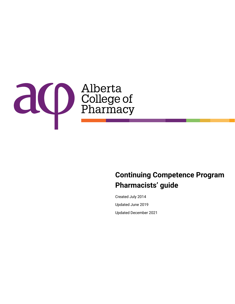

## **Pharmacists' guide Continuing Competence Program**

Created July 2014 Updated June 2019 Updated December 2021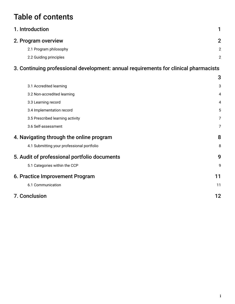# Table of contents

| $\mathbf{\Omega}$ |
|-------------------|
| 2                 |
| 2                 |
|                   |

## [3. Continuing professional development: annual requirements for clinical pharmacists](#page-4-0)

|                                              |                                            | 3  |
|----------------------------------------------|--------------------------------------------|----|
|                                              | 3.1 Accredited learning                    | 3  |
|                                              | 3.2 Non-accredited learning                | 4  |
|                                              | 3.3 Learning record                        | 4  |
|                                              | 3.4 Implementation record                  | 5  |
|                                              | 3.5 Prescribed learning activity           | 7  |
|                                              | 3.6 Self-assessment                        | 7  |
|                                              | 4. Navigating through the online program   | 8  |
|                                              | 4.1 Submitting your professional portfolio | 8  |
| 5. Audit of professional portfolio documents |                                            | 9  |
|                                              | 5.1 Categories within the CCP              | 9  |
| 6. Practice Improvement Program              |                                            | 11 |
|                                              | 6.1 Communication                          | 11 |
|                                              | <b>7. Conclusion</b>                       | 12 |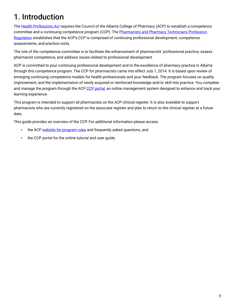# <span id="page-2-0"></span>1. Introduction

The *[Health Professions Act](https://www.qp.alberta.ca/1266.cfm?page=H07.cfm&leg_type=Acts&isbncln=9780779786886&display=html)* requires the Council of the Alberta College of Pharmacy (ACP) to establish a competence committee and a continuing competence program (CCP). The Pharmacists and Pharmacy Technicians Profession [Regulation](https://www.qp.alberta.ca/1266.cfm?page=2006_129.cfm&leg_type=Regs&isbncln=9780779758197) establishes that the ACP's CCP is comprised of continuing professional development, competence assessments, and practice visits.

The role of the competence committee is to facilitate the enhancement of pharmacists' professional practice, assess pharmacist competence, and address issues related to professional development.

ACP is committed to your continuing professional development and to the excellence of pharmacy practice in Alberta through this competence program. The CCP for pharmacists came into effect July 1, 2014. It is based upon review of emerging continuing competence models for health professionals and your feedback. The program focuses on quality improvement, and the implementation of newly acquired or reinforced knowledge and/or skill into practice. You complete and manage the program through the ACP [CCP portal](https://abpharmacy.ca/ccp-portal), an online management system designed to enhance and track your learning experience.

This program is intended to support all pharmacists on the ACP clinical register. It is also available to support pharmacists who are currently registered on the associate register and plan to return to the clinical register at a future date.

This guide provides an overview of the CCP. For additional information please access

- the ACP [website for program rules](https://abpharmacy.ca/ccp-requirements) and frequently asked questions, and
- the CCP portal for the online tutorial and user quide.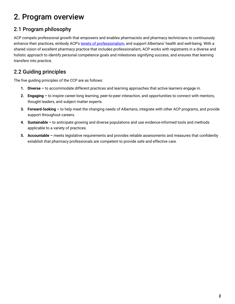## <span id="page-3-0"></span>2. Program overview

## 2.1 Program philosophy

ACP compels professional growth that empowers and enables pharmacists and pharmacy technicians to continuously enhance their practices, embody ACP's [tenets of professionalism,](https://understandingprofessionalism.com/) and support Albertans' health and well-being. With a shared vision of excellent pharmacy practice that includes professionalism, ACP works with registrants in a diverse and holistic approach to identify personal competence goals and milestones signifying success, and ensures that learning transfers into practice.

## 2.2 Guiding principles

The five guiding principles of the CCP are as follows:

- **1. Diverse –** to accommodate different practices and learning approaches that active learners engage in.
- **2. Engaging –** to inspire career-long learning, peer-to-peer interaction, and opportunities to connect with mentors, thought leaders, and subject matter experts.
- **3. Forward-looking –** to help meet the changing needs of Albertans, integrate with other ACP programs, and provide support throughout careers.
- **4. Sustainable –** to anticipate growing and diverse populations and use evidence-informed tools and methods applicable to a variety of practices.
- **5. Accountable –** meets legislative requirements and provides reliable assessments and measures that confidently establish that pharmacy professionals are competent to provide safe and effective care.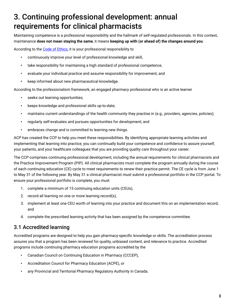## <span id="page-4-0"></span>3. Continuing professional development: annual requirements for clinical pharmacists

Maintaining competence is a professional responsibility and the hallmark of self-regulated professionals. In this context, maintenance **does not mean staying the same**, it means **keeping up with (or ahead of) the changes around you**.

According to the [Code of Ethics](https://abpharmacy.ca/code-ethics), it is your professional responsibility to

- continuously improve your level of professional knowledge and skill,
- take responsibility for maintaining a high standard of professional competence,
- evaluate your individual practice and assume responsibility for improvement, and
- keep informed about new pharmaceutical knowledge.

According to the professionalism framework, an engaged pharmacy professional who is an active learner

- seeks out learning opportunities;
- keeps knowledge and professional skills up-to-date;
- maintains current understandings of the health community they practise in (e.g., providers, agencies, policies);
- regularly self-evaluates and pursues opportunities for development; and
- embraces change and is committed to learning new things.

ACP has created the CCP to help you meet these responsibilities. By identifying appropriate learning activities and implementing that learning into practice, you can continually build your competence and confidence to assure yourself, your patients, and your healthcare colleagues that you are providing quality care throughout your career.

The CCP comprises continuing professional development, including the annual requirements for clinical pharmacists and the Practice Improvement Program (PIP). All clinical pharmacists must complete the program annually during the course of each continuing education (CE) cycle to meet requirements to renew their practice permit. The CE cycle is from June 1 to May 31 of the following year. By May 31 a clinical pharmacist must submit a professional portfolio in the CCP portal. To ensure your professional portfolio is complete, you must

- 1. complete a minimum of 15 continuing education units (CEUs),
- 2. record all learning on one or more learning record(s),
- 3. implement at least one CEU worth of learning into your practice and document this on an implementation record, and
- 4. complete the prescribed learning activity that has been assigned by the competence committee.

#### 3.1 Accredited learning

Accredited programs are designed to help you gain pharmacy-specific knowledge or skills. The accreditation process assures you that a program has been reviewed for quality, unbiased content, and relevance to practice. Accredited programs include continuing pharmacy education programs accredited by the

- Canadian Council on Continuing Education in Pharmacy (CCCEP),
- Accreditation Council for Pharmacy Education (ACPE), or
- any Provincial and Territorial Pharmacy Regulatory Authority in Canada.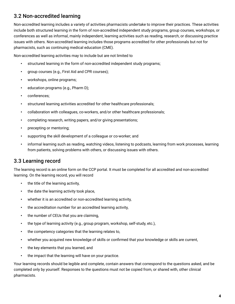### <span id="page-5-0"></span>3.2 Non-accredited learning

Non-accredited learning includes a variety of activities pharmacists undertake to improve their practices. These activities include both structured learning in the form of non-accredited independent study programs, group courses, workshops, or conferences as well as informal, mainly independent, learning activities such as reading, research, or discussing practice issues with others. Non-accredited learning includes those programs accredited for other professionals but not for pharmacists, such as continuing medical education (CME).

Non-accredited learning activities may to include but are not limited to

- structured learning in the form of non-accredited independent study programs;
- group courses (e.g., First Aid and CPR courses);
- workshops, online programs;
- education programs (e.g., Pharm D);
- conferences;
- structured learning activities accredited for other healthcare professionals;
- collaboration with colleagues, co-workers, and/or other healthcare professionals;
- completing research, writing papers, and/or giving presentations;
- precepting or mentoring;
- supporting the skill development of a colleague or co-worker; and
- informal learning such as reading, watching videos, listening to podcasts, learning from work processes, learning from patients, solving problems with others, or discussing issues with others.

#### 3.3 Learning record

The learning record is an online form on the CCP portal. It must be completed for all accredited and non-accredited learning. On the learning record, you will record

- the title of the learning activity,
- the date the learning activity took place,
- whether it is an accredited or non-accredited learning activity,
- the accreditation number for an accredited learning activity,
- the number of CEUs that you are claiming,
- the type of learning activity (e.g., group program, workshop, self-study, etc.),
- the competency categories that the learning relates to,
- whether you acquired new knowledge of skills or confirmed that your knowledge or skills are current,
- the key elements that you learned, and
- the impact that the learning will have on your practice.

Your learning records should be legible and complete, contain answers that correspond to the questions asked, and be completed only by yourself. Responses to the questions must not be copied from, or shared with, other clinical pharmacists.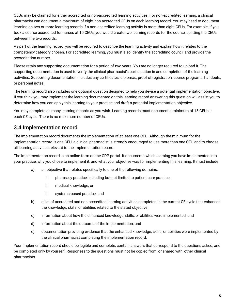<span id="page-6-0"></span>CEUs may be claimed for either accredited or non-accredited learning activities. For non-accredited learning, a clinical pharmacist can document a maximum of eight non-accredited CEUs on each learning record. You may need to document learning on two or more learning records if a non-accredited learning activity is more than eight CEUs. For example, if you took a course accredited for nurses at 10 CEUs, you would create two learning records for the course, splitting the CEUs between the two records.

As part of the learning record, you will be required to describe the learning activity and explain how it relates to the competency category chosen. For accredited learning, you must also identify the accrediting council and provide the accreditation number.

Please retain any supporting documentation for a period of two years. You are no longer required to upload it. The supporting documentation is used to verify the clinical pharmacist's participation in and completion of the learning activities. Supporting documentation includes any certificates, diplomas, proof of registration, course programs, handouts, or personal notes.

The learning record also includes one optional question designed to help you devise a potential implementation objective. If you think you may implement the learning documented on this learning record answering this question will assist you to determine how you can apply this learning to your practice and draft a potential implementation objective.

You may complete as many learning records as you wish. Learning records must document a minimum of 15 CEUs in each CE cycle. There is no maximum number of CEUs.

### 3.4 Implementation record

The implementation record documents the implementation of at least one CEU. Although the minimum for the implementation record is one CEU, a clinical pharmacist is strongly encouraged to use more than one CEU and to choose all learning activities relevant to the implementation record.

The implementation record is an online form on the CPP portal. It documents which learning you have implemented into your practice, why you chose to implement it, and what your objective was for implementing this learning. It must include

- a) an objective that relates specifically to one of the following domains:
	- i. pharmacy practice, including but not limited to patient care practice;
	- ii. medical knowledge; or
	- iii. systems-based practice; and
- b) a list of accredited and non-accredited learning activities completed in the current CE cycle that enhanced the knowledge, skills, or abilities related to the stated objective;
- c) information about how the enhanced knowledge, skills, or abilities were implemented; and
- d) information about the outcome of the implementation; and
- e) documentation providing evidence that the enhanced knowledge, skills, or abilities were implemented by the clinical pharmacist completing the implementation record.

Your implementation record should be legible and complete, contain answers that correspond to the questions asked, and be completed only by yourself. Responses to the questions must not be copied from, or shared with, other clinical pharmacists.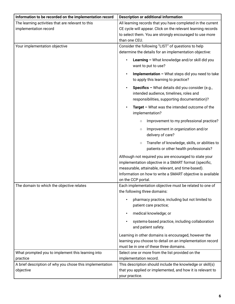| Information to be recorded on the implementation record              | <b>Description or additional information</b>                                                                                                                                                                                                              |
|----------------------------------------------------------------------|-----------------------------------------------------------------------------------------------------------------------------------------------------------------------------------------------------------------------------------------------------------|
| The learning activities that are relevant to this                    | All learning records that you have completed in the current                                                                                                                                                                                               |
| implementation record                                                | CE cycle will appear. Click on the relevant learning records                                                                                                                                                                                              |
|                                                                      | to select them. You are strongly encouraged to use more                                                                                                                                                                                                   |
|                                                                      | than one CEU.                                                                                                                                                                                                                                             |
| Your implementation objective                                        | Consider the following "LIST" of questions to help                                                                                                                                                                                                        |
|                                                                      | determine the details for an implementation objective:                                                                                                                                                                                                    |
|                                                                      | Learning - What knowledge and/or skill did you<br>want to put to use?                                                                                                                                                                                     |
|                                                                      | Implementation - What steps did you need to take<br>to apply this learning to practice?                                                                                                                                                                   |
|                                                                      | Specifics - What details did you consider (e.g.,<br>intended audience, timelines, roles and<br>responsibilities, supporting documentation)?                                                                                                               |
|                                                                      | Target - What was the intended outcome of the<br>implementation?                                                                                                                                                                                          |
|                                                                      | Improvement to my professional practice?<br>$\circ$                                                                                                                                                                                                       |
|                                                                      | Improvement in organization and/or<br>$\circ$<br>delivery of care?                                                                                                                                                                                        |
|                                                                      | Transfer of knowledge, skills, or abilities to<br>$\circ$<br>patients or other health professionals?                                                                                                                                                      |
|                                                                      | Although not required you are encouraged to state your<br>implementation objective in a SMART format (specific,<br>measurable, attainable, relevant, and time-based).<br>Information on how to write a SMART objective is available<br>on the CCP portal. |
| The domain to which the objective relates                            | Each implementation objective must be related to one of<br>the following three domains:                                                                                                                                                                   |
|                                                                      | pharmacy practice, including but not limited to<br>patient care practice;                                                                                                                                                                                 |
|                                                                      | medical knowledge; or                                                                                                                                                                                                                                     |
|                                                                      | systems-based practice, including collaboration<br>and patient safety.                                                                                                                                                                                    |
|                                                                      | Learning in other domains is encouraged, however the<br>learning you choose to detail on an implementation record<br>must be in one of these three domains.                                                                                               |
| What prompted you to implement this learning into                    | Select one or more from the list provided on the                                                                                                                                                                                                          |
| practice<br>A brief description of why you chose this implementation | implementation record.<br>This description should include the knowledge or skill(s)                                                                                                                                                                       |
| objective                                                            | that you applied or implemented, and how it is relevant to                                                                                                                                                                                                |
|                                                                      | your practice.                                                                                                                                                                                                                                            |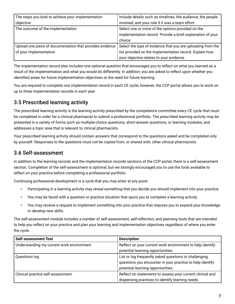<span id="page-8-0"></span>

| The steps you took to achieve your implementation        | Include details such as timelines, the audience, the people |
|----------------------------------------------------------|-------------------------------------------------------------|
| objective                                                | involved, and your role if it was a team effort.            |
| The outcome of the implementation                        | Select one or more of the options provided on the           |
|                                                          | implementation record. Provide a brief explanation of your  |
|                                                          | choice.                                                     |
| Upload one piece of documentation that provides evidence | Select the type of evidence that you are uploading from the |
| of your implementation                                   | list provided on the implementation record. Explain how     |
|                                                          | your objective relates to your evidence.                    |

The implementation record also includes one optional question that encourages you to reflect on what you learned as a result of the implementation and what you would do differently. In addition, you are asked to reflect upon whether you identified areas for future implementation objectives or the need for future learning.

You are required to complete one implementation record in each CE cycle; however, the CCP portal allows you to work on up to three implementation records in each year.

## 3.5 Prescribed learning activity

The prescribed learning activity is the learning activity prescribed by the competence committee every CE cycle that must be completed in order for a clinical pharmacist to submit a professional portfolio. The prescribed learning activity may be presented in a variety of forms such as multiple-choice questions, short-answer questions, or learning modules, and addresses a topic area that is relevant to clinical pharmacists.

Your prescribed learning activity should contain answers that correspond to the questions asked and be completed only by yourself. Responses to the questions must not be copied from, or shared with, other clinical pharmacists.

### 3.6 Self-assessment

In addition to the learning records and the implementation records sections of the CCP portal, there is a self-assessment section. Completion of the self-assessment is optional, but we strongly encouraged you to use the tools available to reflect on your practice before completing a professional portfolio.

Continuing professional development is a cycle that you may enter at any point:

- Participating in a learning activity may reveal something that you decide you should implement into your practice.
- You may be faced with a question or practice situation that spurs you to complete a learning activity.
- You may receive a request to implement something into your practice that requires you to expand your knowledge or develop new skills.

The self-assessment module includes a number of self-assessment, self-reflection, and planning tools that are intended to help you reflect on your practice and plan your learning and implementation objectives regardless of where you enter the cycle.

| <b>Self-assessment Tool</b>               | <b>Description</b>                                        |
|-------------------------------------------|-----------------------------------------------------------|
| Understanding my current work environment | Reflect on your current work environment to help identify |
|                                           | potential learning opportunities.                         |
| Questions log                             | List or log frequently asked questions or challenging     |
|                                           | questions you encounter in your practice to help identify |
|                                           | potential learning opportunities.                         |
| Clinical practice self-assessment         | Reflect on statements to assess your current clinical and |
|                                           | dispensing practices to identify learning needs.          |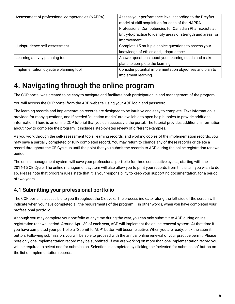<span id="page-9-0"></span>

| Assessment of professional competencies (NAPRA) | Assess your performance level according to the Dreyfus        |
|-------------------------------------------------|---------------------------------------------------------------|
|                                                 | model of skill acquisition for each of the NAPRA              |
|                                                 | Professional Competencies for Canadian Pharmacists at         |
|                                                 | Entry-to-practice to identify areas of strength and areas for |
|                                                 | improvement.                                                  |
| Jurisprudence self-assessment                   | Complete 15 multiple choice questions to assess your          |
|                                                 | knowledge of ethics and jurisprudence.                        |
| Learning activity planning tool                 | Answer questions about your learning needs and make           |
|                                                 | plans to complete the learning.                               |
| Implementation objective planning tool          | Consider potential implementation objectives and plan to      |
|                                                 | implement learning.                                           |

## 4. Navigating through the online program

The CCP portal was created to be easy to navigate and facilitate both participation in and management of the program.

You will access the CCP portal from the ACP website, using your ACP login and password.

The learning records and implementation records are designed to be intuitive and easy to complete. Text information is provided for many questions, and if needed "question marks" are available to open help bubbles to provide additional information. There is an online CCP tutorial that you can access via the portal. The tutorial provides additional information about how to complete the program. It includes step-by-step review of different examples.

As you work through the self-assessment tools, learning records, and working copies of the implementation records, you may save a partially completed or fully completed record. You may return to change any of these records or delete a record throughout the CE Cycle up until the point that you submit the records to ACP during the online registration renewal period.

The online management system will save your professional portfolio for three consecutive cycles, starting with the 2014-15 CE Cycle. The online management system will also allow you to print your records from this site if you wish to do so. Please note that program rules state that it is your responsibility to keep your supporting documentation, for a period of two years.

## 4.1 Submitting your professional portfolio

The CCP portal is accessible to you throughout the CE cycle. The process indicator along the left side of the screen will indicate when you have completed all the requirements of the program – in other words, when you have completed your professional portfolio.

Although you may complete your portfolio at any time during the year, you can only submit it to ACP during online registration renewal period. Around April 30 of each year, ACP will implement the online renewal system. At that time if you have completed your portfolio a "Submit to ACP" button will become active. When you are ready, click the submit button. Following submission, you will be able to proceed with the annual online renewal of your practice permit. Please note only one implementation record may be submitted. If you are working on more than one implementation record you will be required to select one for submission. Selection is completed by clicking the "selected for submission" button on the list of implementation records.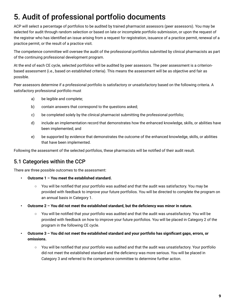# <span id="page-10-0"></span>5. Audit of professional portfolio documents

ACP will select a percentage of portfolios to be audited by trained pharmacist assessors (peer assessors). You may be selected for audit through random selection or based on late or incomplete portfolio submission, or upon the request of the registrar who has identified an issue arising from a request for registration, issuance of a practice permit, renewal of a practice permit, or the result of a practice visit.

The competence committee will oversee the audit of the professional portfolios submitted by clinical pharmacists as part of the continuing professional development program.

At the end of each CE cycle, selected portfolios will be audited by peer assessors. The peer assessment is a criterionbased assessment (i.e., based on established criteria). This means the assessment will be as objective and fair as possible.

Peer assessors determine if a professional portfolio is satisfactory or unsatisfactory based on the following criteria. A satisfactory professional portfolio must

- a) be legible and complete;
- b) contain answers that correspond to the questions asked;
- c) be completed solely by the clinical pharmacist submitting the professional portfolio;
- d) include an implementation record that demonstrates how the enhanced knowledge, skills, or abilities have been implemented; and
- e) be supported by evidence that demonstrates the outcome of the enhanced knowledge, skills, or abilities that have been implemented.

Following the assessment of the selected portfolios, these pharmacists will be notified of their audit result.

## 5.1 Categories within the CCP

There are three possible outcomes to the assessment:

- **Outcome 1 You meet the established standard.**
	- You will be notified that your portfolio was audited and that the audit was satisfactory. You may be provided with feedback to improve your future portfolios. You will be directed to complete the program on an annual basis in Category 1.
- **Outcome 2 You did not meet the established standard, but the deficiency was minor in nature.**
	- You will be notified that your portfolio was audited and that the audit was unsatisfactory. You will be provided with feedback on how to improve your future portfolios. You will be placed in Category 2 of the program in the following CE cycle.
- **Outcome 3 You did not meet the established standard and your portfolio has significant gaps, errors, or omissions.**
	- You will be notified that your portfolio was audited and that the audit was unsatisfactory. Your portfolio did not meet the established standard and the deficiency was more serious. You will be placed in Category 3 and referred to the competence committee to determine further action.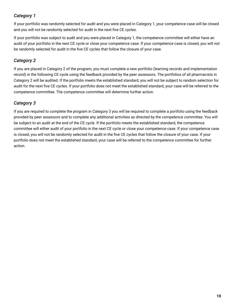#### *Category 1*

If your portfolio was randomly selected for audit and you were placed in Category 1, your competence case will be closed and you will not be randomly selected for audit in the next five CE cycles.

If your portfolio was subject to audit and you were placed in Category 1, the competence committee will either have an audit of your portfolio in the next CE cycle or close your competence case. If your competence case is closed, you will not be randomly selected for audit in the five CE cycles that follow the closure of your case.

#### *Category 2*

If you are placed in Category 2 of the program, you must complete a new portfolio (learning records and implementation record) in the following CE cycle using the feedback provided by the peer assessors. The portfolios of all pharmacists in Category 2 will be audited. If the portfolio meets the established standard, you will not be subject to random selection for audit for the next five CE cycles. If your portfolio does not meet the established standard, your case will be referred to the competence committee. The competence committee will determine further action.

#### *Category 3*

If you are required to complete the program in Category 3 you will be required to complete a portfolio using the feedback provided by peer assessors and to complete any additional activities as directed by the competence committee. You will be subject to an audit at the end of the CE cycle. If the portfolio meets the established standard, the competence committee will either audit of your portfolio in the next CE cycle or close your competence case. If your competence case is closed, you will not be randomly selected for audit in the five CE cycles that follow the closure of your case. If your portfolio does not meet the established standard, your case will be referred to the competence committee for further action.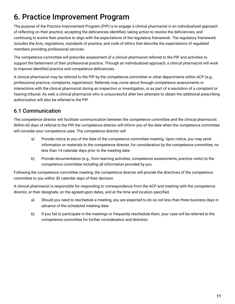# <span id="page-12-0"></span>6. Practice Improvement Program

The purpose of the Practice Improvement Program (PIP) is to engage a clinical pharmacist in an individualized approach of reflecting on their practice, accepting the deficiencies identified, taking action to resolve the deficiencies, and continuing to evolve their practice to align with the expectations of the regulatory framework. The regulatory framework includes the Acts, regulations, standards of practice, and code of ethics that describe the expectations of regulated members providing professional services.

The competence committee will prescribe assessment of a clinical pharmacist referred to the PIP and activities to support the betterment of their professional practice. Through an individualized approach, a clinical pharmacist will work to improve identified practice and competence deficiencies.

A clinical pharmacist may be referred to the PIP by the competence committee or other departments within ACP (e.g., professional practice, complaints, registration). Referrals may come about through competence assessments or interactions with the clinical pharmacist during an inspection or investigation, or as part of a resolution of a complaint or hearing tribunal. As well, a clinical pharmacist who is unsuccessful after two attempts to obtain the additional prescribing authorization will also be referred to the PIP.

## 6.1 Communication

The competence director will facilitate communication between the competence committee and the clinical pharmacist. Within 60 days of referral to the PIP, the competence director will inform you of the date when the competence committee will consider your competence case. The competence director will

- a) Provide notice to you of the date of the competence committee meeting. Upon notice, you may send information or materials to the competence director, for consideration by the competence committee, no less than 14 calendar days prior to the meeting date.
- b) Provide documentation (e.g., from learning activities, competence assessments, practice visits) to the competence committee including all information provided by you.

Following the competence committee meeting, the competence director will provide the directives of the competence committee to you within 30 calendar days of their decision.

A clinical pharmacist is responsible for responding to correspondence from the ACP and meeting with the competence director, or their designate, on the agreed-upon dates, and at the time and location specified.

- a) Should you need to reschedule a meeting, you are expected to do so not less than three business days in advance of the scheduled meeting date.
- b) If you fail to participate in the meetings or frequently reschedule them, your case will be referred to the competence committee for further consideration and direction.